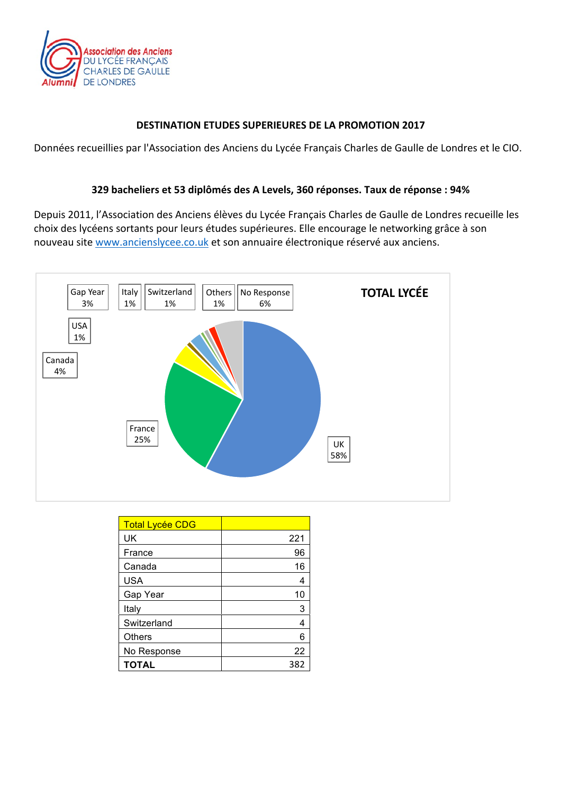

#### **DESTINATION ETUDES SUPERIEURES DE LA PROMOTION 2017**

Données recueillies par l'Association des Anciens du Lycée Français Charles de Gaulle de Londres et le CIO.

#### **329 bacheliers et 53 diplômés des A Levels, 360 réponses. Taux de réponse : 94%**

Depuis 2011, l'Association des Anciens élèves du Lycée Français Charles de Gaulle de Londres recueille les choix des lycéens sortants pour leurs études supérieures. Elle encourage le networking grâce à son nouveau site www.ancienslycee.co.uk et son annuaire électronique réservé aux anciens.



| <b>Total Lycée CDG</b> |     |
|------------------------|-----|
| UK                     | 221 |
| France                 | 96  |
| Canada                 | 16  |
| <b>USA</b>             | 4   |
| Gap Year               | 10  |
| Italy                  | 3   |
| Switzerland            | 4   |
| <b>Others</b>          | 6   |
| No Response            | 22  |
| <b>TOTAL</b>           | 382 |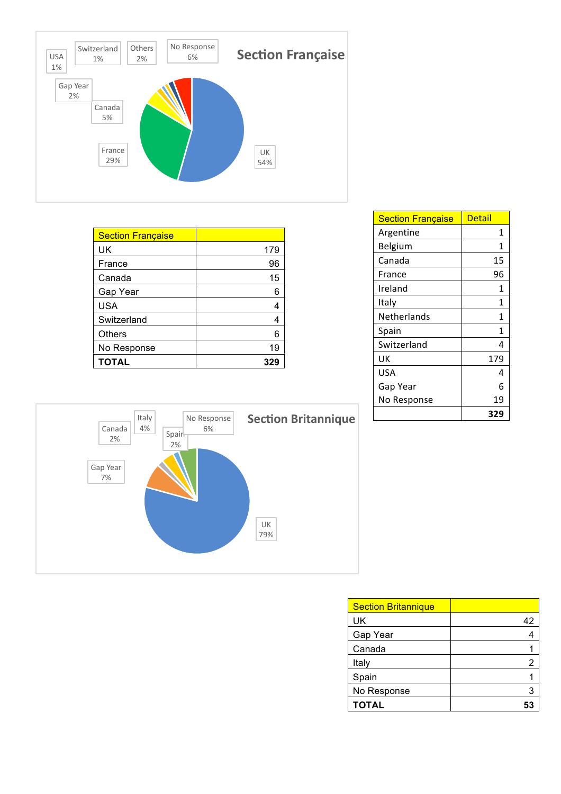

| <b>Section Française</b> |     |
|--------------------------|-----|
| UK                       | 179 |
| France                   | 96  |
| Canada                   | 15  |
| Gap Year                 | 6   |
| <b>USA</b>               | 4   |
| Switzerland              | 4   |
| <b>Others</b>            | 6   |
| No Response              | 19  |
| TOTAL                    | 329 |

| <b>Section Française</b> | Detail |
|--------------------------|--------|
| Argentine                | 1      |
| Belgium                  | 1      |
| Canada                   | 15     |
| France                   | 96     |
| Ireland                  | 1      |
| Italy                    | 1      |
| Netherlands              | 1      |
| Spain                    | 1      |
| Switzerland              | 4      |
| UK                       | 179    |
| USA                      | 4      |
| Gap Year                 | 6      |
| No Response              | 19     |
|                          | 329    |



| <b>Section Britannique</b> |    |
|----------------------------|----|
| UK                         | 42 |
| Gap Year                   |    |
| Canada                     |    |
| Italy                      | 2  |
| Spain                      |    |
| No Response                |    |
| <b>TOTAL</b>               |    |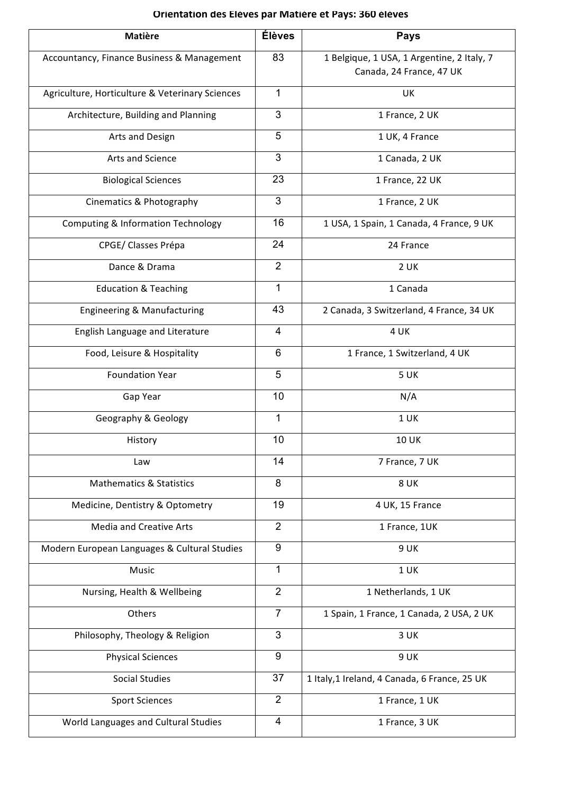### **Orientation des Elèves par Matière et Pays: 360 élèves**

| <b>Matière</b>                                  | <b>Élèves</b>  | <b>Pays</b>                                                            |
|-------------------------------------------------|----------------|------------------------------------------------------------------------|
| Accountancy, Finance Business & Management      | 83             | 1 Belgique, 1 USA, 1 Argentine, 2 Italy, 7<br>Canada, 24 France, 47 UK |
| Agriculture, Horticulture & Veterinary Sciences | 1              | UK                                                                     |
| Architecture, Building and Planning             | 3              | 1 France, 2 UK                                                         |
| Arts and Design                                 | 5              | 1 UK, 4 France                                                         |
| Arts and Science                                | 3              | 1 Canada, 2 UK                                                         |
| <b>Biological Sciences</b>                      | 23             | 1 France, 22 UK                                                        |
| Cinematics & Photography                        | 3              | 1 France, 2 UK                                                         |
| <b>Computing &amp; Information Technology</b>   | 16             | 1 USA, 1 Spain, 1 Canada, 4 France, 9 UK                               |
| CPGE/ Classes Prépa                             | 24             | 24 France                                                              |
| Dance & Drama                                   | $\overline{2}$ | $2$ UK                                                                 |
| <b>Education &amp; Teaching</b>                 | 1              | 1 Canada                                                               |
| Engineering & Manufacturing                     | 43             | 2 Canada, 3 Switzerland, 4 France, 34 UK                               |
| English Language and Literature                 | 4              | 4 UK                                                                   |
| Food, Leisure & Hospitality                     | 6              | 1 France, 1 Switzerland, 4 UK                                          |
| <b>Foundation Year</b>                          | 5              | 5 UK                                                                   |
| Gap Year                                        | 10             | N/A                                                                    |
| Geography & Geology                             | 1              | 1 UK                                                                   |
| History                                         | 10             | <b>10 UK</b>                                                           |
| Law                                             | 14             | 7 France, 7 UK                                                         |
| <b>Mathematics &amp; Statistics</b>             | 8              | 8 UK                                                                   |
| Medicine, Dentistry & Optometry                 | 19             | 4 UK, 15 France                                                        |
| <b>Media and Creative Arts</b>                  | $\overline{2}$ | 1 France, 1UK                                                          |
| Modern European Languages & Cultural Studies    | 9              | 9 UK                                                                   |
| Music                                           | $\mathbf{1}$   | 1 UK                                                                   |
| Nursing, Health & Wellbeing                     | $\overline{2}$ | 1 Netherlands, 1 UK                                                    |
| Others                                          | $\overline{7}$ | 1 Spain, 1 France, 1 Canada, 2 USA, 2 UK                               |
| Philosophy, Theology & Religion                 | $\mathbf{3}$   | 3 UK                                                                   |
| <b>Physical Sciences</b>                        | 9              | 9 UK                                                                   |
| <b>Social Studies</b>                           | 37             | 1 Italy, 1 Ireland, 4 Canada, 6 France, 25 UK                          |
| <b>Sport Sciences</b>                           | $\overline{2}$ | 1 France, 1 UK                                                         |
| World Languages and Cultural Studies            | 4              | 1 France, 3 UK                                                         |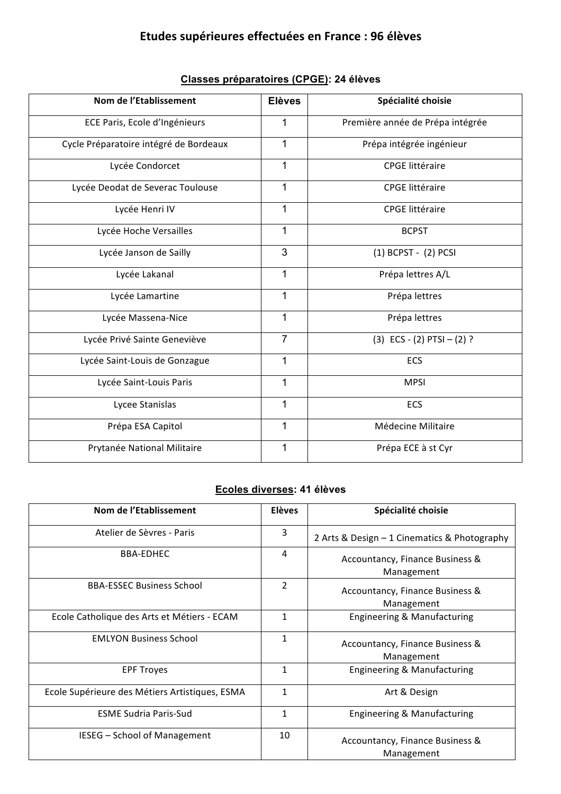## **Etudes supérieures effectuées en France : 96 élèves**

| Nom de l'Etablissement                 | <b>Elèves</b>  | Spécialité choisie               |  |
|----------------------------------------|----------------|----------------------------------|--|
| ECE Paris, Ecole d'Ingénieurs          | 1              | Première année de Prépa intégrée |  |
| Cycle Préparatoire intégré de Bordeaux | 1              | Prépa intégrée ingénieur         |  |
| Lycée Condorcet                        | $\mathbf{1}$   | <b>CPGE</b> littéraire           |  |
| Lycée Deodat de Severac Toulouse       | $\mathbf{1}$   | <b>CPGE</b> littéraire           |  |
| Lycée Henri IV                         | $\mathbf{1}$   | <b>CPGE</b> littéraire           |  |
| Lycée Hoche Versailles                 | 1              | <b>BCPST</b>                     |  |
| Lycée Janson de Sailly                 | 3              | (1) BCPST - (2) PCSI             |  |
| Lycée Lakanal                          | $\mathbf{1}$   | Prépa lettres A/L                |  |
| Lycée Lamartine                        | $\mathbf 1$    | Prépa lettres                    |  |
| Lycée Massena-Nice                     | $\mathbf 1$    | Prépa lettres                    |  |
| Lycée Privé Sainte Geneviève           | $\overline{7}$ | $(3)$ ECS - $(2)$ PTSI - $(2)$ ? |  |
| Lycée Saint-Louis de Gonzague          | $\mathbf 1$    | ECS                              |  |
| Lycée Saint-Louis Paris                | $\mathbf{1}$   | <b>MPSI</b>                      |  |
| Lycee Stanislas                        | 1              | ECS                              |  |
| Prépa ESA Capitol                      | 1              | Médecine Militaire               |  |
| Prytanée National Militaire            | $\mathbf 1$    | Prépa ECE à st Cyr               |  |

### **Classes préparatoires (CPGE): 24 élèves**

#### **Ecoles diverses: 41 élèves**

| Nom de l'Etablissement                         | <b>Elèves</b>  | Spécialité choisie                            |
|------------------------------------------------|----------------|-----------------------------------------------|
| Atelier de Sèvres - Paris                      | 3              | 2 Arts & Design - 1 Cinematics & Photography  |
| <b>BBA-EDHEC</b>                               | 4              | Accountancy, Finance Business &<br>Management |
| <b>BBA-ESSEC Business School</b>               | $\overline{2}$ | Accountancy, Finance Business &<br>Management |
| Ecole Catholique des Arts et Métiers - ECAM    | 1              | Engineering & Manufacturing                   |
| <b>EMLYON Business School</b>                  | 1              | Accountancy, Finance Business &<br>Management |
| <b>EPF Troves</b>                              | 1              | Engineering & Manufacturing                   |
| Ecole Supérieure des Métiers Artistiques, ESMA | $\mathbf{1}$   | Art & Design                                  |
| <b>ESME Sudria Paris-Sud</b>                   | 1              | Engineering & Manufacturing                   |
| <b>IESEG</b> – School of Management            | 10             | Accountancy, Finance Business &<br>Management |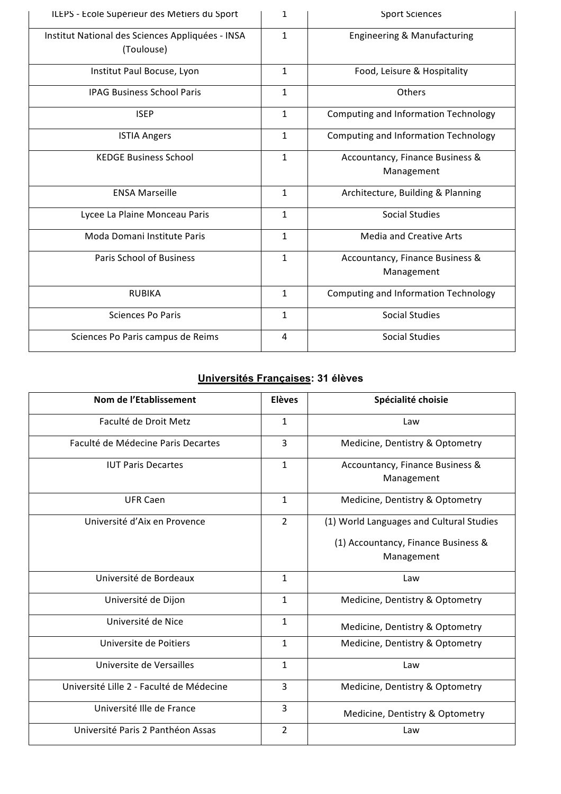| ILEPS - Ecole Supérieur des Métiers du Sport                   | 1            | <b>Sport Sciences</b>                         |
|----------------------------------------------------------------|--------------|-----------------------------------------------|
| Institut National des Sciences Appliquées - INSA<br>(Toulouse) | $\mathbf{1}$ | Engineering & Manufacturing                   |
| Institut Paul Bocuse, Lyon                                     | $\mathbf{1}$ | Food, Leisure & Hospitality                   |
| <b>IPAG Business School Paris</b>                              | $\mathbf{1}$ | Others                                        |
| <b>ISEP</b>                                                    | $\mathbf{1}$ | Computing and Information Technology          |
| <b>ISTIA Angers</b>                                            | $\mathbf{1}$ | Computing and Information Technology          |
| <b>KEDGE Business School</b>                                   | $\mathbf{1}$ | Accountancy, Finance Business &<br>Management |
| <b>ENSA Marseille</b>                                          | $\mathbf{1}$ | Architecture, Building & Planning             |
| Lycee La Plaine Monceau Paris                                  | $\mathbf{1}$ | <b>Social Studies</b>                         |
| Moda Domani Institute Paris                                    | $\mathbf{1}$ | <b>Media and Creative Arts</b>                |
| Paris School of Business                                       | $\mathbf{1}$ | Accountancy, Finance Business &<br>Management |
| <b>RUBIKA</b>                                                  | $\mathbf{1}$ | Computing and Information Technology          |
| <b>Sciences Po Paris</b>                                       | $\mathbf{1}$ | <b>Social Studies</b>                         |
| Sciences Po Paris campus de Reims                              | 4            | <b>Social Studies</b>                         |

### **Universités Françaises: 31 élèves**

| Nom de l'Etablissement                   | <b>Elèves</b>  | Spécialité choisie                            |
|------------------------------------------|----------------|-----------------------------------------------|
| Faculté de Droit Metz                    | $\mathbf{1}$   | Law                                           |
| Faculté de Médecine Paris Decartes       | 3              | Medicine, Dentistry & Optometry               |
| <b>IUT Paris Decartes</b>                | $\mathbf{1}$   | Accountancy, Finance Business &<br>Management |
| <b>UFR Caen</b>                          | $\mathbf{1}$   | Medicine, Dentistry & Optometry               |
| Université d'Aix en Provence             | $\overline{2}$ | (1) World Languages and Cultural Studies      |
|                                          |                | (1) Accountancy, Finance Business &           |
|                                          |                | Management                                    |
| Université de Bordeaux                   | $\mathbf{1}$   | Law                                           |
| Université de Dijon                      | $\mathbf{1}$   | Medicine, Dentistry & Optometry               |
| Université de Nice                       | $\mathbf{1}$   | Medicine, Dentistry & Optometry               |
| Universite de Poitiers                   | $\mathbf{1}$   | Medicine, Dentistry & Optometry               |
| Universite de Versailles                 | $\mathbf{1}$   | Law                                           |
| Université Lille 2 - Faculté de Médecine | 3              | Medicine, Dentistry & Optometry               |
| Université Ille de France                | 3              | Medicine, Dentistry & Optometry               |
| Université Paris 2 Panthéon Assas        | $\overline{2}$ | Law                                           |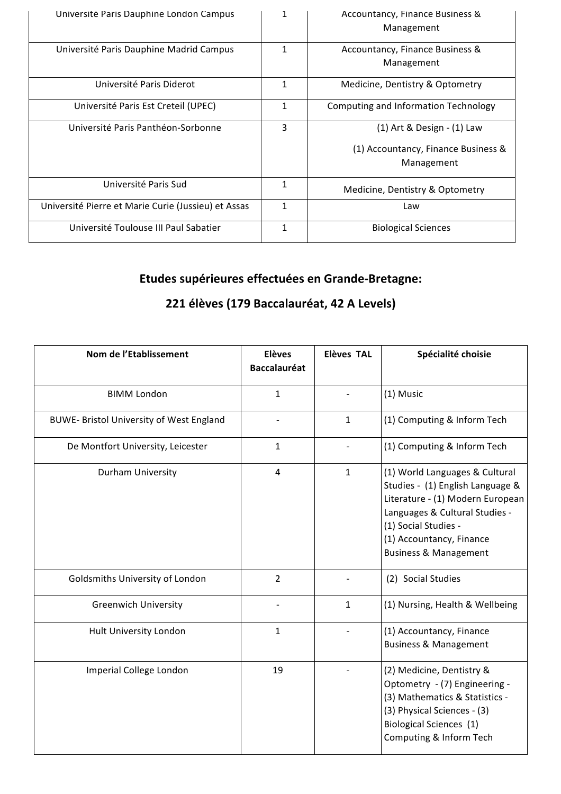| Université Paris Dauphine London Campus             | 1 | Accountancy, Finance Business &<br>Management                                   |
|-----------------------------------------------------|---|---------------------------------------------------------------------------------|
| Université Paris Dauphine Madrid Campus             | 1 | Accountancy, Finance Business &<br>Management                                   |
| Université Paris Diderot                            | 1 | Medicine, Dentistry & Optometry                                                 |
| Université Paris Est Creteil (UPEC)                 | 1 | Computing and Information Technology                                            |
| Université Paris Panthéon-Sorbonne                  | 3 | (1) Art & Design - (1) Law<br>(1) Accountancy, Finance Business &<br>Management |
| Université Paris Sud                                | 1 | Medicine, Dentistry & Optometry                                                 |
| Université Pierre et Marie Curie (Jussieu) et Assas | 1 | Law                                                                             |
| Université Toulouse III Paul Sabatier               | 1 | <b>Biological Sciences</b>                                                      |

# **Etudes supérieures effectuées en Grande-Bretagne:**

### **221 élèves (179 Baccalauréat, 42 A Levels)**

| Nom de l'Etablissement                   | <b>Elèves</b><br><b>Baccalauréat</b> | <b>Elèves TAL</b> | Spécialité choisie                                                                                                                                                                                                               |
|------------------------------------------|--------------------------------------|-------------------|----------------------------------------------------------------------------------------------------------------------------------------------------------------------------------------------------------------------------------|
| <b>BIMM London</b>                       | $\mathbf{1}$                         |                   | (1) Music                                                                                                                                                                                                                        |
| BUWE- Bristol University of West England |                                      | $\mathbf{1}$      | (1) Computing & Inform Tech                                                                                                                                                                                                      |
| De Montfort University, Leicester        | 1                                    |                   | (1) Computing & Inform Tech                                                                                                                                                                                                      |
| Durham University                        | $\overline{4}$                       | $\mathbf{1}$      | (1) World Languages & Cultural<br>Studies - (1) English Language &<br>Literature - (1) Modern European<br>Languages & Cultural Studies -<br>(1) Social Studies -<br>(1) Accountancy, Finance<br><b>Business &amp; Management</b> |
| Goldsmiths University of London          | $\overline{2}$                       |                   | (2) Social Studies                                                                                                                                                                                                               |
| <b>Greenwich University</b>              |                                      | $\mathbf{1}$      | (1) Nursing, Health & Wellbeing                                                                                                                                                                                                  |
| Hult University London                   | $\mathbf{1}$                         |                   | (1) Accountancy, Finance<br><b>Business &amp; Management</b>                                                                                                                                                                     |
| Imperial College London                  | 19                                   |                   | (2) Medicine, Dentistry &<br>Optometry - (7) Engineering -<br>(3) Mathematics & Statistics -<br>(3) Physical Sciences - (3)<br><b>Biological Sciences</b> (1)<br>Computing & Inform Tech                                         |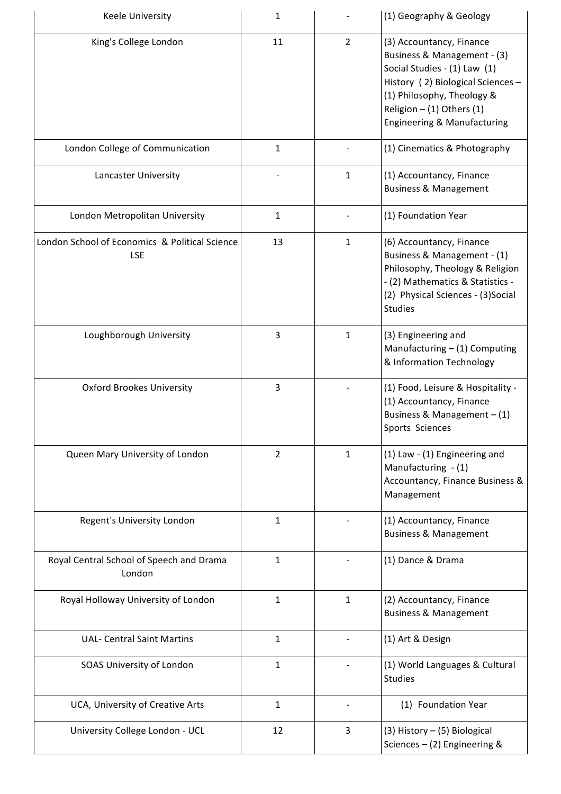| Keele University                                             | 1              |                | (1) Geography & Geology                                                                                                                                                                                                  |
|--------------------------------------------------------------|----------------|----------------|--------------------------------------------------------------------------------------------------------------------------------------------------------------------------------------------------------------------------|
| King's College London                                        | 11             | $\overline{2}$ | (3) Accountancy, Finance<br>Business & Management - (3)<br>Social Studies - (1) Law (1)<br>History (2) Biological Sciences -<br>(1) Philosophy, Theology &<br>Religion $-$ (1) Others (1)<br>Engineering & Manufacturing |
| London College of Communication                              | $\mathbf{1}$   |                | (1) Cinematics & Photography                                                                                                                                                                                             |
| Lancaster University                                         |                | $\mathbf{1}$   | (1) Accountancy, Finance<br><b>Business &amp; Management</b>                                                                                                                                                             |
| London Metropolitan University                               | $\mathbf{1}$   |                | (1) Foundation Year                                                                                                                                                                                                      |
| London School of Economics & Political Science<br><b>LSE</b> | 13             | $\mathbf{1}$   | (6) Accountancy, Finance<br>Business & Management - (1)<br>Philosophy, Theology & Religion<br>- (2) Mathematics & Statistics -<br>(2) Physical Sciences - (3)Social<br><b>Studies</b>                                    |
| Loughborough University                                      | 3              | $\mathbf{1}$   | (3) Engineering and<br>Manufacturing $- (1)$ Computing<br>& Information Technology                                                                                                                                       |
| <b>Oxford Brookes University</b>                             | 3              |                | (1) Food, Leisure & Hospitality -<br>(1) Accountancy, Finance<br>Business & Management $- (1)$<br>Sports Sciences                                                                                                        |
| Queen Mary University of London                              | $\overline{2}$ | 1              | (1) Law - (1) Engineering and<br>Manufacturing - (1)<br>Accountancy, Finance Business &<br>Management                                                                                                                    |
| Regent's University London                                   | $\mathbf{1}$   |                | (1) Accountancy, Finance<br><b>Business &amp; Management</b>                                                                                                                                                             |
| Royal Central School of Speech and Drama<br>London           | $\mathbf{1}$   |                | (1) Dance & Drama                                                                                                                                                                                                        |
| Royal Holloway University of London                          | $\mathbf{1}$   | $\mathbf{1}$   | (2) Accountancy, Finance<br><b>Business &amp; Management</b>                                                                                                                                                             |
| <b>UAL- Central Saint Martins</b>                            | $\mathbf{1}$   |                | (1) Art & Design                                                                                                                                                                                                         |
| SOAS University of London                                    | $\mathbf{1}$   |                | (1) World Languages & Cultural<br><b>Studies</b>                                                                                                                                                                         |
| UCA, University of Creative Arts                             | $\mathbf{1}$   |                | (1) Foundation Year                                                                                                                                                                                                      |
| University College London - UCL                              | 12             | 3              | $(3)$ History - $(5)$ Biological<br>Sciences $-$ (2) Engineering &                                                                                                                                                       |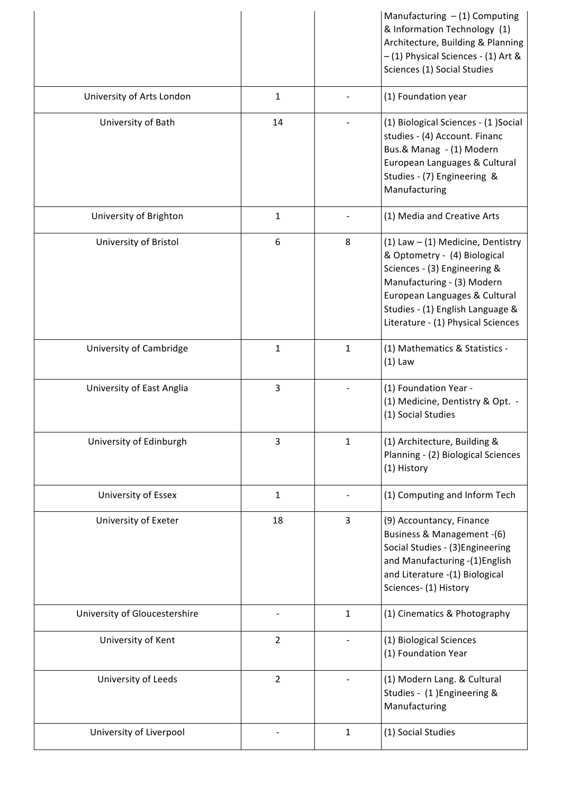|                               |                |              | Manufacturing $- (1)$ Computing<br>& Information Technology (1)<br>Architecture, Building & Planning<br>- (1) Physical Sciences - (1) Art &<br>Sciences (1) Social Studies                                                                   |
|-------------------------------|----------------|--------------|----------------------------------------------------------------------------------------------------------------------------------------------------------------------------------------------------------------------------------------------|
| University of Arts London     | $\mathbf{1}$   |              | (1) Foundation year                                                                                                                                                                                                                          |
| University of Bath            | 14             |              | (1) Biological Sciences - (1) Social<br>studies - (4) Account. Financ<br>Bus.& Manag - (1) Modern<br>European Languages & Cultural<br>Studies - (7) Engineering &<br>Manufacturing                                                           |
| University of Brighton        | $\mathbf{1}$   |              | (1) Media and Creative Arts                                                                                                                                                                                                                  |
| University of Bristol         | 6              | 8            | (1) Law $-$ (1) Medicine, Dentistry<br>& Optometry - (4) Biological<br>Sciences - (3) Engineering &<br>Manufacturing - (3) Modern<br>European Languages & Cultural<br>Studies - (1) English Language &<br>Literature - (1) Physical Sciences |
| University of Cambridge       | $\mathbf{1}$   | $\mathbf{1}$ | (1) Mathematics & Statistics -<br>$(1)$ Law                                                                                                                                                                                                  |
| University of East Anglia     | 3              |              | (1) Foundation Year -<br>(1) Medicine, Dentistry & Opt. -<br>(1) Social Studies                                                                                                                                                              |
| University of Edinburgh       | 3              | $\mathbf{1}$ | (1) Architecture, Building &<br>Planning - (2) Biological Sciences<br>(1) History                                                                                                                                                            |
| University of Essex           | 1              |              | (1) Computing and Inform Tech                                                                                                                                                                                                                |
| University of Exeter          | 18             | 3            | (9) Accountancy, Finance<br>Business & Management -(6)<br>Social Studies - (3) Engineering<br>and Manufacturing -(1)English<br>and Literature -(1) Biological<br>Sciences- (1) History                                                       |
| University of Gloucestershire |                | $\mathbf{1}$ | (1) Cinematics & Photography                                                                                                                                                                                                                 |
| University of Kent            | $\overline{2}$ |              | (1) Biological Sciences<br>(1) Foundation Year                                                                                                                                                                                               |
| University of Leeds           | $\mathbf{2}$   |              | (1) Modern Lang. & Cultural<br>Studies - (1) Engineering &<br>Manufacturing                                                                                                                                                                  |
| University of Liverpool       |                | $\mathbf{1}$ | (1) Social Studies                                                                                                                                                                                                                           |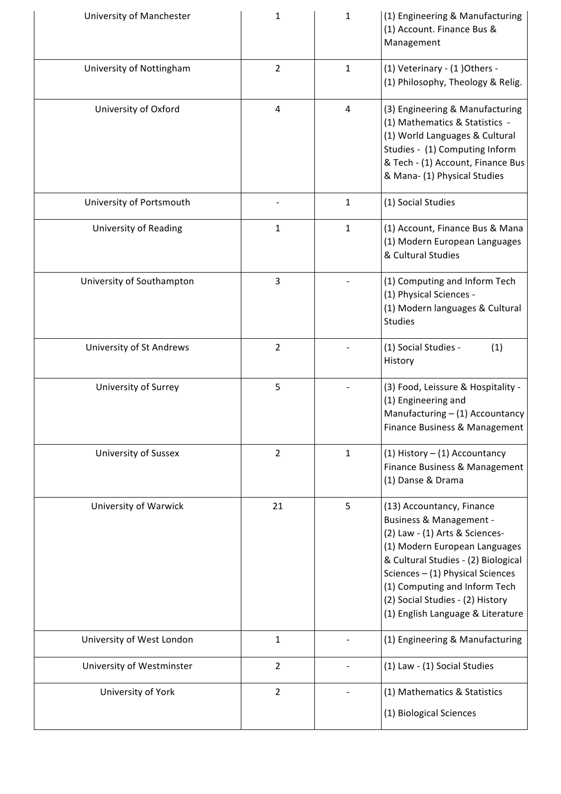| University of Manchester    | $\mathbf 1$    | $\mathbf{1}$ | (1) Engineering & Manufacturing<br>(1) Account. Finance Bus &<br>Management                                                                                                                                                                                                                                    |
|-----------------------------|----------------|--------------|----------------------------------------------------------------------------------------------------------------------------------------------------------------------------------------------------------------------------------------------------------------------------------------------------------------|
| University of Nottingham    | $\overline{2}$ | $\mathbf{1}$ | (1) Veterinary - (1) Others -<br>(1) Philosophy, Theology & Relig.                                                                                                                                                                                                                                             |
| University of Oxford        | $\overline{4}$ | 4            | (3) Engineering & Manufacturing<br>(1) Mathematics & Statistics -<br>(1) World Languages & Cultural<br>Studies - (1) Computing Inform<br>& Tech - (1) Account, Finance Bus<br>& Mana- (1) Physical Studies                                                                                                     |
| University of Portsmouth    |                | $\mathbf{1}$ | (1) Social Studies                                                                                                                                                                                                                                                                                             |
| University of Reading       | $\mathbf{1}$   | $\mathbf{1}$ | (1) Account, Finance Bus & Mana<br>(1) Modern European Languages<br>& Cultural Studies                                                                                                                                                                                                                         |
| University of Southampton   | 3              |              | (1) Computing and Inform Tech<br>(1) Physical Sciences -<br>(1) Modern languages & Cultural<br><b>Studies</b>                                                                                                                                                                                                  |
| University of St Andrews    | $\overline{2}$ |              | (1) Social Studies -<br>(1)<br>History                                                                                                                                                                                                                                                                         |
| University of Surrey        | 5              |              | (3) Food, Leissure & Hospitality -<br>(1) Engineering and<br>Manufacturing - (1) Accountancy<br>Finance Business & Management                                                                                                                                                                                  |
| <b>University of Sussex</b> | $\overline{2}$ | $\mathbf{1}$ | (1) History $-$ (1) Accountancy<br>Finance Business & Management<br>(1) Danse & Drama                                                                                                                                                                                                                          |
| University of Warwick       | 21             | 5            | (13) Accountancy, Finance<br>Business & Management -<br>(2) Law - (1) Arts & Sciences-<br>(1) Modern European Languages<br>& Cultural Studies - (2) Biological<br>Sciences $-$ (1) Physical Sciences<br>(1) Computing and Inform Tech<br>(2) Social Studies - (2) History<br>(1) English Language & Literature |
| University of West London   | $\mathbf{1}$   |              | (1) Engineering & Manufacturing                                                                                                                                                                                                                                                                                |
| University of Westminster   | $\overline{2}$ |              | (1) Law - (1) Social Studies                                                                                                                                                                                                                                                                                   |
| University of York          | $\overline{2}$ |              | (1) Mathematics & Statistics<br>(1) Biological Sciences                                                                                                                                                                                                                                                        |